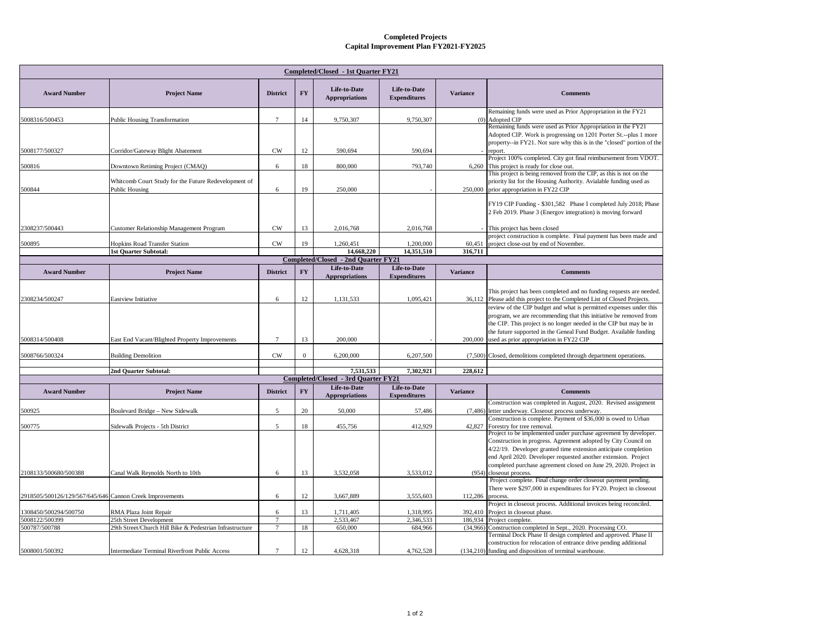## **Completed Projects Capital Improvement Plan FY2021-FY2025**

| Completed/Closed - 1st Ouarter FY21                      |                                                                        |                 |              |                                                   |                                     |                 |                                                                                                                                                                                                                                                                                                                                             |  |  |  |  |
|----------------------------------------------------------|------------------------------------------------------------------------|-----------------|--------------|---------------------------------------------------|-------------------------------------|-----------------|---------------------------------------------------------------------------------------------------------------------------------------------------------------------------------------------------------------------------------------------------------------------------------------------------------------------------------------------|--|--|--|--|
| <b>Award Number</b>                                      | <b>Project Name</b>                                                    | <b>District</b> | <b>FY</b>    | Life-to-Date<br><b>Appropriations</b>             | Life-to-Date<br><b>Expenditures</b> | <b>Variance</b> | <b>Comments</b>                                                                                                                                                                                                                                                                                                                             |  |  |  |  |
| 5008316/500453                                           | Public Housing Transformation                                          | $\tau$          | 14           | 9,750,307                                         | 9,750,307                           |                 | Remaining funds were used as Prior Appropriation in the FY21<br>(0) Adopted CIP                                                                                                                                                                                                                                                             |  |  |  |  |
|                                                          |                                                                        |                 |              |                                                   |                                     |                 | Remaining funds were used as Prior Appropriation in the FY21<br>Adopted CIP. Work is progressing on 1201 Porter St.--plus 1 more                                                                                                                                                                                                            |  |  |  |  |
| 5008177/500327                                           | Corridor/Gateway Blight Abatement                                      | <b>CW</b>       | 12           | 590,694                                           | 590.694                             |                 | property--in FY21. Not sure why this is in the "closed" portion of the<br>report.                                                                                                                                                                                                                                                           |  |  |  |  |
| 500816                                                   | Downtown Retiming Project (CMAQ)                                       | 6               | 18           | 800,000                                           | 793,740                             |                 | Project 100% completed. City got final reimbursement from VDOT.<br>6,260 This project is ready for close out.                                                                                                                                                                                                                               |  |  |  |  |
| 500844                                                   | Whitcomb Court Study for the Future Redevelopment of<br>Public Housing | 6               | 19           | 250,000                                           |                                     | 250,000         | This project is being removed from the CIP, as this is not on the<br>priority list for the Housing Authority. Avialable funding used as<br>prior appropriation in FY22 CIP                                                                                                                                                                  |  |  |  |  |
|                                                          |                                                                        |                 |              |                                                   |                                     |                 | FY19 CIP Funding - \$301,582 Phase I completed July 2018; Phase<br>2 Feb 2019. Phase 3 (Energov integration) is moving forward                                                                                                                                                                                                              |  |  |  |  |
| 2308237/500443                                           | Customer Relationship Management Program                               | <b>CW</b>       | 13           | 2,016,768                                         | 2,016,768                           |                 | This project has been closed                                                                                                                                                                                                                                                                                                                |  |  |  |  |
| 500895                                                   | <b>Hopkins Road Transfer Station</b>                                   | <b>CW</b>       | 19           | 1,260,451                                         | 1,200,000                           | 60,451          | project construction is complete. Final payment has been made and<br>project close-out by end of November.                                                                                                                                                                                                                                  |  |  |  |  |
|                                                          | <b>1st Quarter Subtotal:</b>                                           |                 |              | 14,668,220<br>Completed/Closed - 2nd Quarter FY21 | 14,351,510                          | 316,711         |                                                                                                                                                                                                                                                                                                                                             |  |  |  |  |
| <b>Award Number</b>                                      | <b>Project Name</b>                                                    | <b>District</b> | <b>FY</b>    | Life-to-Date<br><b>Appropriations</b>             | Life-to-Date<br><b>Expenditures</b> | <b>Variance</b> | <b>Comments</b>                                                                                                                                                                                                                                                                                                                             |  |  |  |  |
| 2308234/500247                                           | Eastview Initiative                                                    | 6               | 12           | 1,131,533                                         | 1,095,421                           |                 | This project has been completed and no funding requests are needed.<br>36,112 Please add this project to the Completed List of Closed Projects.                                                                                                                                                                                             |  |  |  |  |
| 5008314/500408                                           | East End Vacant/Blighted Property Improvements                         | $\tau$          | 13           | 200,000                                           |                                     |                 | review of the CIP budget and what is permitted expenses under this<br>program, we are recommending that this initiative be removed from<br>the CIP. This project is no longer needed in the CIP but may be in<br>the future supported in the Geneal Fund Budget. Available funding<br>200,000 used as prior appropriation in FY22 CIP       |  |  |  |  |
| 5008766/500324                                           | <b>Building Demolition</b>                                             | <b>CW</b>       | $\mathbf{0}$ | 6,200,000                                         | 6,207,500                           |                 | (7,500) Closed, demolitions completed through department operations.                                                                                                                                                                                                                                                                        |  |  |  |  |
|                                                          | 2nd Quarter Subtotal:                                                  |                 |              | 7,531,533                                         | 7,302,921                           | 228,612         |                                                                                                                                                                                                                                                                                                                                             |  |  |  |  |
|                                                          |                                                                        |                 |              | Completed/Closed - 3rd Quarter FY21               |                                     |                 |                                                                                                                                                                                                                                                                                                                                             |  |  |  |  |
| <b>Award Number</b>                                      | <b>Project Name</b>                                                    | <b>District</b> | <b>FY</b>    | Life-to-Date<br><b>Appropriations</b>             | Life-to-Date<br><b>Expenditures</b> | <b>Variance</b> | <b>Comments</b>                                                                                                                                                                                                                                                                                                                             |  |  |  |  |
| 500925                                                   | <b>Boulevard Bridge - New Sidewalk</b>                                 | 5               | 20           | 50,000                                            | 57,486                              |                 | Construction was completed in August, 2020. Revised assignment<br>(7,486) letter underway. Closeout process underway.                                                                                                                                                                                                                       |  |  |  |  |
| 500775                                                   | Sidewalk Projects - 5th District                                       | 5               | 18           | 455,756                                           | 412,929                             | 42,827          | Construction is complete. Payment of \$36,000 is owed to Urban<br>Forestry for tree removal.                                                                                                                                                                                                                                                |  |  |  |  |
|                                                          |                                                                        |                 |              |                                                   |                                     |                 | Project to be implemented under purchase agreement by developer.<br>Construction in progress. Agreement adopted by City Council on<br>4/22/19. Developer granted time extension anticipate completion<br>end April 2020. Developer requested another extension. Project<br>completed purchase agreement closed on June 29, 2020. Project in |  |  |  |  |
| 2108133/500680/500388                                    | Canal Walk Reynolds North to 10th                                      | 6               | 13           | 3,532,058                                         | 3,533,012                           |                 | (954) closeout process.                                                                                                                                                                                                                                                                                                                     |  |  |  |  |
| 2918505/500126/129/567/645/646 Cannon Creek Improvements |                                                                        | 6               | 12           | 3,667,889                                         | 3,555,603                           | 112,286         | Project complete. Final change order closeout payment pending.<br>There were \$297,000 in expenditures for FY20. Project in closeout<br>process.                                                                                                                                                                                            |  |  |  |  |
| 1308450/500294/500750                                    | RMA Plaza Joint Repair                                                 | 6               | 13           | 1,711,405                                         | 1,318,995                           |                 | Project in closeout process. Additional invoices being reconciled.<br>392,410 Project in closeout phase.                                                                                                                                                                                                                                    |  |  |  |  |
| 5008122/500399                                           | 25th Street Development                                                | $7\phantom{.0}$ |              | 2.533.467                                         | 2.346.533                           | 186,934         | Project complete.                                                                                                                                                                                                                                                                                                                           |  |  |  |  |
| 500787/500788                                            | 29th Street/Church Hill Bike & Pedestrian Infrastructure               | $\overline{7}$  | 18           | 650,000                                           | 684.966                             | (34,966)        | Construction completed in Sept., 2020. Processing CO.<br>Terminal Dock Phase II design completed and approved. Phase II                                                                                                                                                                                                                     |  |  |  |  |
| 5008001/500392                                           | <b>Intermediate Terminal Riverfront Public Access</b>                  | $\tau$          | 12           | 4,628,318                                         | 4,762,528                           |                 | construction for relocation of entrance drive pending additional<br>(134,210) funding and disposition of terminal warehouse.                                                                                                                                                                                                                |  |  |  |  |